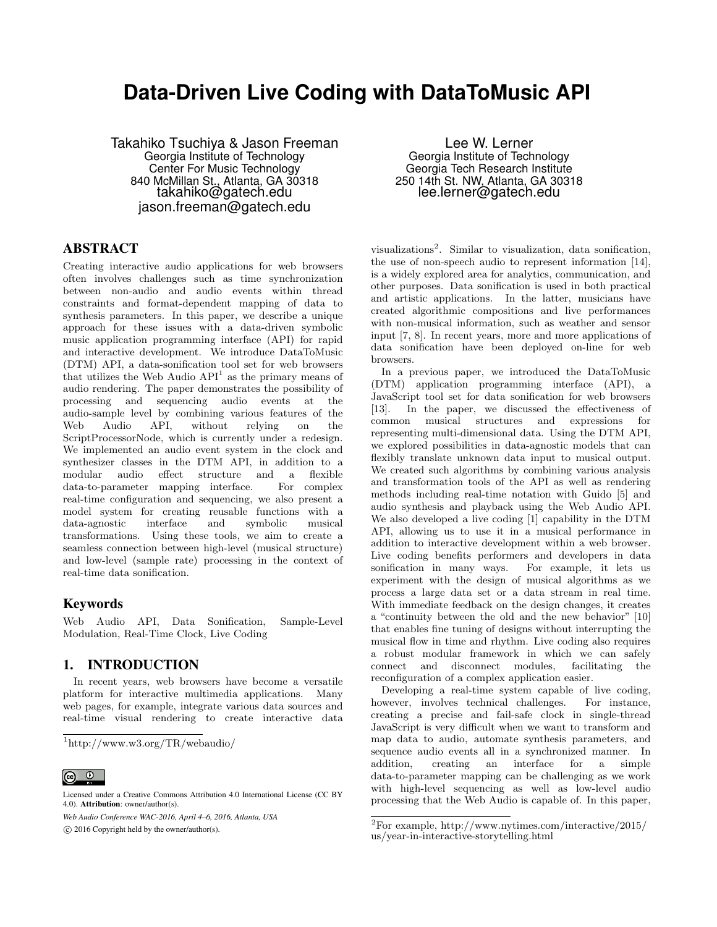# **Data-Driven Live Coding with DataToMusic API**

Takahiko Tsuchiya & Jason Freeman Georgia Institute of Technology Center For Music Technology 840 McMillan St., Atlanta, GA 30318 takahiko@gatech.edu jason.freeman@gatech.edu

## ABSTRACT

Creating interactive audio applications for web browsers often involves challenges such as time synchronization between non-audio and audio events within thread constraints and format-dependent mapping of data to synthesis parameters. In this paper, we describe a unique approach for these issues with a data-driven symbolic music application programming interface (API) for rapid and interactive development. We introduce DataToMusic (DTM) API, a data-sonification tool set for web browsers that utilizes the Web Audio  $API<sup>1</sup>$  as the primary means of audio rendering. The paper demonstrates the possibility of processing and sequencing audio events at the audio-sample level by combining various features of the Web Audio API, without relying on the ScriptProcessorNode, which is currently under a redesign. We implemented an audio event system in the clock and synthesizer classes in the DTM API, in addition to a modular audio effect structure and a flexible data-to-parameter mapping interface. For complex real-time configuration and sequencing, we also present a model system for creating reusable functions with a data-agnostic interface and symbolic musical transformations. Using these tools, we aim to create a seamless connection between high-level (musical structure) and low-level (sample rate) processing in the context of real-time data sonification.

### Keywords

Web Audio API, Data Sonification, Sample-Level Modulation, Real-Time Clock, Live Coding

## 1. INTRODUCTION

In recent years, web browsers have become a versatile platform for interactive multimedia applications. Many web pages, for example, integrate various data sources and real-time visual rendering to create interactive data

*Web Audio Conference WAC-2016, April 4–6, 2016, Atlanta, USA*

 $\circ$  2016 Copyright held by the owner/author(s).

Lee W. Lerner Georgia Institute of Technology Georgia Tech Research Institute 250 14th St. NW, Atlanta, GA 30318 lee.lerner@gatech.edu

visualizations<sup>2</sup>. Similar to visualization, data sonification, the use of non-speech audio to represent information [14], is a widely explored area for analytics, communication, and other purposes. Data sonification is used in both practical and artistic applications. In the latter, musicians have created algorithmic compositions and live performances with non-musical information, such as weather and sensor input [7, 8]. In recent years, more and more applications of data sonification have been deployed on-line for web browsers.

In a previous paper, we introduced the DataToMusic (DTM) application programming interface (API), a JavaScript tool set for data sonification for web browsers [13]. In the paper, we discussed the effectiveness of common musical structures and expressions for representing multi-dimensional data. Using the DTM API, we explored possibilities in data-agnostic models that can flexibly translate unknown data input to musical output. We created such algorithms by combining various analysis and transformation tools of the API as well as rendering methods including real-time notation with Guido [5] and audio synthesis and playback using the Web Audio API. We also developed a live coding [1] capability in the DTM API, allowing us to use it in a musical performance in addition to interactive development within a web browser. Live coding benefits performers and developers in data sonification in many ways. For example, it lets us experiment with the design of musical algorithms as we process a large data set or a data stream in real time. With immediate feedback on the design changes, it creates a "continuity between the old and the new behavior" [10] that enables fine tuning of designs without interrupting the musical flow in time and rhythm. Live coding also requires a robust modular framework in which we can safely connect and disconnect modules, facilitating the reconfiguration of a complex application easier.

Developing a real-time system capable of live coding, however, involves technical challenges. For instance, creating a precise and fail-safe clock in single-thread JavaScript is very difficult when we want to transform and map data to audio, automate synthesis parameters, and sequence audio events all in a synchronized manner. In addition, creating an interface for a simple data-to-parameter mapping can be challenging as we work with high-level sequencing as well as low-level audio processing that the Web Audio is capable of. In this paper,

<sup>1</sup>http://www.w3.org/TR/webaudio/

 $\circledcirc$ 

Licensed under a Creative Commons Attribution 4.0 International License (CC BY 4.0). Attribution: owner/author(s).

<sup>2</sup>For example, http://www.nytimes.com/interactive/2015/ us/year-in-interactive-storytelling.html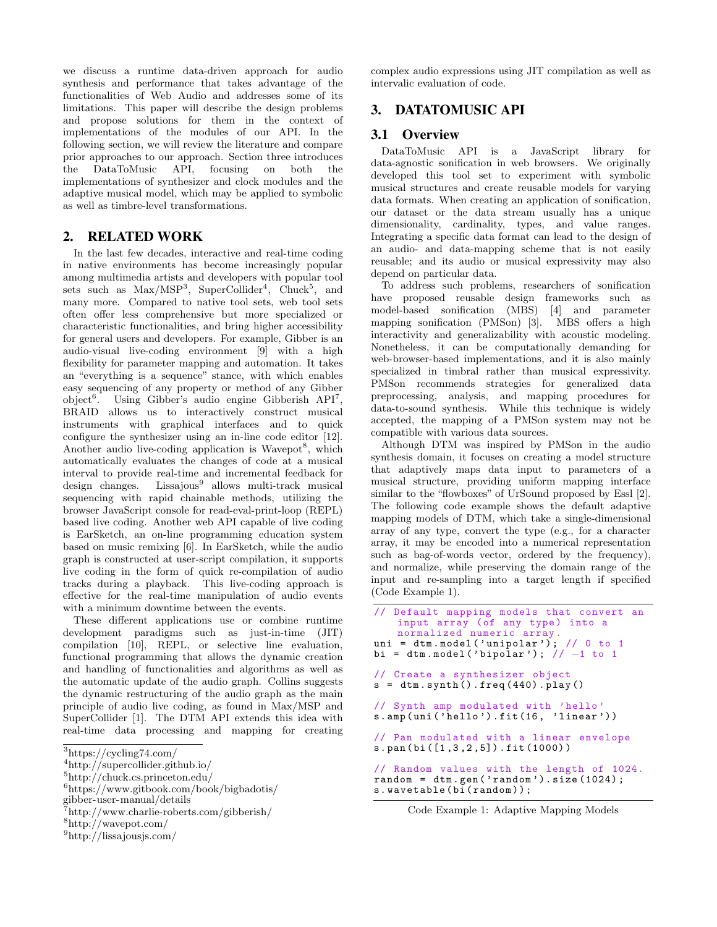we discuss a runtime data-driven approach for audio synthesis and performance that takes advantage of the functionalities of Web Audio and addresses some of its limitations. This paper will describe the design problems and propose solutions for them in the context of implementations of the modules of our API. In the following section, we will review the literature and compare prior approaches to our approach. Section three introduces the DataToMusic API, focusing on both the implementations of synthesizer and clock modules and the adaptive musical model, which may be applied to symbolic as well as timbre-level transformations.

## 2. RELATED WORK

In the last few decades, interactive and real-time coding in native environments has become increasingly popular among multimedia artists and developers with popular tool sets such as  $Max/MSP<sup>3</sup>$ , SuperCollider<sup>4</sup>, Chuck<sup>5</sup>, and many more. Compared to native tool sets, web tool sets often offer less comprehensive but more specialized or characteristic functionalities, and bring higher accessibility for general users and developers. For example, Gibber is an audio-visual live-coding environment [9] with a high flexibility for parameter mapping and automation. It takes an "everything is a sequence" stance, with which enables easy sequencing of any property or method of any Gibber object<sup>6</sup>. Using Gibber's audio engine Gibberish API<sup>7</sup>, BRAID allows us to interactively construct musical instruments with graphical interfaces and to quick configure the synthesizer using an in-line code editor [12]. Another audio live-coding application is Wavepot<sup>8</sup>, which automatically evaluates the changes of code at a musical interval to provide real-time and incremental feedback for design changes. Lissaious<sup>9</sup> allows multi-track musical sequencing with rapid chainable methods, utilizing the browser JavaScript console for read-eval-print-loop (REPL) based live coding. Another web API capable of live coding is EarSketch, an on-line programming education system based on music remixing [6]. In EarSketch, while the audio graph is constructed at user-script compilation, it supports live coding in the form of quick re-compilation of audio tracks during a playback. This live-coding approach is effective for the real-time manipulation of audio events with a minimum downtime between the events.

These different applications use or combine runtime development paradigms such as just-in-time (JIT) compilation [10], REPL, or selective line evaluation, functional programming that allows the dynamic creation and handling of functionalities and algorithms as well as the automatic update of the audio graph. Collins suggests the dynamic restructuring of the audio graph as the main principle of audio live coding, as found in Max/MSP and SuperCollider [1]. The DTM API extends this idea with real-time data processing and mapping for creating

```
8http://wavepot.com/
```
<sup>9</sup>http://lissajousjs.com/

complex audio expressions using JIT compilation as well as intervalic evaluation of code.

# 3. DATATOMUSIC API

#### 3.1 Overview

DataToMusic API is a JavaScript library for data-agnostic sonification in web browsers. We originally developed this tool set to experiment with symbolic musical structures and create reusable models for varying data formats. When creating an application of sonification, our dataset or the data stream usually has a unique dimensionality, cardinality, types, and value ranges. Integrating a specific data format can lead to the design of an audio- and data-mapping scheme that is not easily reusable; and its audio or musical expressivity may also depend on particular data.

To address such problems, researchers of sonification have proposed reusable design frameworks such as model-based sonification (MBS) [4] and parameter mapping sonification (PMSon) [3]. MBS offers a high interactivity and generalizability with acoustic modeling. Nonetheless, it can be computationally demanding for web-browser-based implementations, and it is also mainly specialized in timbral rather than musical expressivity. PMSon recommends strategies for generalized data preprocessing, analysis, and mapping procedures for data-to-sound synthesis. While this technique is widely accepted, the mapping of a PMSon system may not be compatible with various data sources.

Although DTM was inspired by PMSon in the audio synthesis domain, it focuses on creating a model structure that adaptively maps data input to parameters of a musical structure, providing uniform mapping interface similar to the "flowboxes" of UrSound proposed by Essl [2]. The following code example shows the default adaptive mapping models of DTM, which take a single-dimensional array of any type, convert the type (e.g., for a character array, it may be encoded into a numerical representation such as bag-of-words vector, ordered by the frequency), and normalize, while preserving the domain range of the input and re-sampling into a target length if specified (Code Example 1).

```
// Default mapping models that convert an
    input array (of any type) into a
    normalized numeric array .
uni = dtm. model ( ' unipolar ') ; // 0 to 1
bi = dtm . model ( ' bipolar ') ; // −1 to 1
// Create a synthesizer object
s = dtm \nvert synth (). freq (440). play()// Synth amp modulated with 'hello '
s.amp(uni('hello').fit(16, 'linear'))// Pan modulated with a linear envelope
s.pan(bi ([1 ,3 ,2 ,5]) .fit (1000) )
// Random values with the length of 1024.
random = dtm.gen('random').size(1024);
s. wavetable (bi(random));
```
Code Example 1: Adaptive Mapping Models

<sup>3</sup>https://cycling74.com/

 $^4$ http://supercollider.github.io/

<sup>5</sup>http://chuck.cs.princeton.edu/

<sup>6</sup>https://www.gitbook.com/book/bigbadotis/

gibber-user-manual/details

<sup>7</sup>http://www.charlie-roberts.com/gibberish/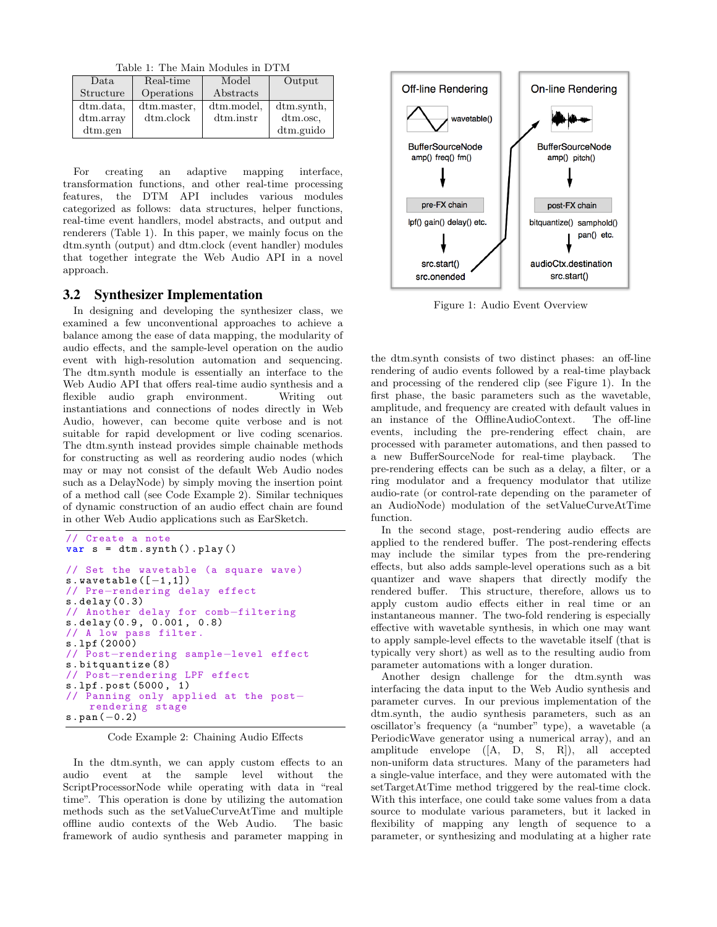Table 1: The Main Modules in DTM

| Data       | Real-time    | Model      | Output     |
|------------|--------------|------------|------------|
| Structure  | Operations   | Abstracts  |            |
| dtm.data,  | dtm.master.  | dtm.model, | dtm.synth, |
| dtm.array  | $d$ tm.clock | dtm.instr  | dtm.osc.   |
| $d$ tm.gen |              |            | dtm.guido  |

For creating an adaptive mapping interface, transformation functions, and other real-time processing features, the DTM API includes various modules categorized as follows: data structures, helper functions, real-time event handlers, model abstracts, and output and renderers (Table 1). In this paper, we mainly focus on the dtm.synth (output) and dtm.clock (event handler) modules that together integrate the Web Audio API in a novel approach.

#### 3.2 Synthesizer Implementation

In designing and developing the synthesizer class, we examined a few unconventional approaches to achieve a balance among the ease of data mapping, the modularity of audio effects, and the sample-level operation on the audio event with high-resolution automation and sequencing. The dtm.synth module is essentially an interface to the Web Audio API that offers real-time audio synthesis and a flexible audio graph environment. Writing out instantiations and connections of nodes directly in Web Audio, however, can become quite verbose and is not suitable for rapid development or live coding scenarios. The dtm.synth instead provides simple chainable methods for constructing as well as reordering audio nodes (which may or may not consist of the default Web Audio nodes such as a DelayNode) by simply moving the insertion point of a method call (see Code Example 2). Similar techniques of dynamic construction of an audio effect chain are found in other Web Audio applications such as EarSketch.

```
// Create a note
var s = dtm.synth(). play()
// Set the wavetable (a square wave )
s. wavetable ([-1,1])
// Pre−rendering delay effect
s. delay (0.3)
// Another delay for comb−filtering
s. delay (0.9 , 0.001 , 0.8)
// A low pass filter .
s.lpf (2000)
// Post−rendering sample−level effect
s. bitquantize (8)
// Post−rendering LPF effect
s.lpf. post (5000 , 1)
// Panning only applied at the post−
   rendering stage
s.pan(−0.2)
```
Code Example 2: Chaining Audio Effects

In the dtm.synth, we can apply custom effects to an audio event at the sample level without the ScriptProcessorNode while operating with data in "real time". This operation is done by utilizing the automation methods such as the setValueCurveAtTime and multiple offline audio contexts of the Web Audio. The basic framework of audio synthesis and parameter mapping in



Figure 1: Audio Event Overview

the dtm.synth consists of two distinct phases: an off-line rendering of audio events followed by a real-time playback and processing of the rendered clip (see Figure 1). In the first phase, the basic parameters such as the wavetable, amplitude, and frequency are created with default values in an instance of the OfflineAudioContext. The off-line events, including the pre-rendering effect chain, are processed with parameter automations, and then passed to a new BufferSourceNode for real-time playback. The pre-rendering effects can be such as a delay, a filter, or a ring modulator and a frequency modulator that utilize audio-rate (or control-rate depending on the parameter of an AudioNode) modulation of the setValueCurveAtTime function.

In the second stage, post-rendering audio effects are applied to the rendered buffer. The post-rendering effects may include the similar types from the pre-rendering effects, but also adds sample-level operations such as a bit quantizer and wave shapers that directly modify the rendered buffer. This structure, therefore, allows us to apply custom audio effects either in real time or an instantaneous manner. The two-fold rendering is especially effective with wavetable synthesis, in which one may want to apply sample-level effects to the wavetable itself (that is typically very short) as well as to the resulting audio from parameter automations with a longer duration.

Another design challenge for the dtm.synth was interfacing the data input to the Web Audio synthesis and parameter curves. In our previous implementation of the dtm.synth, the audio synthesis parameters, such as an oscillator's frequency (a "number" type), a wavetable (a PeriodicWave generator using a numerical array), and an amplitude envelope ([A, D, S, R]), all accepted non-uniform data structures. Many of the parameters had a single-value interface, and they were automated with the setTargetAtTime method triggered by the real-time clock. With this interface, one could take some values from a data source to modulate various parameters, but it lacked in flexibility of mapping any length of sequence to a parameter, or synthesizing and modulating at a higher rate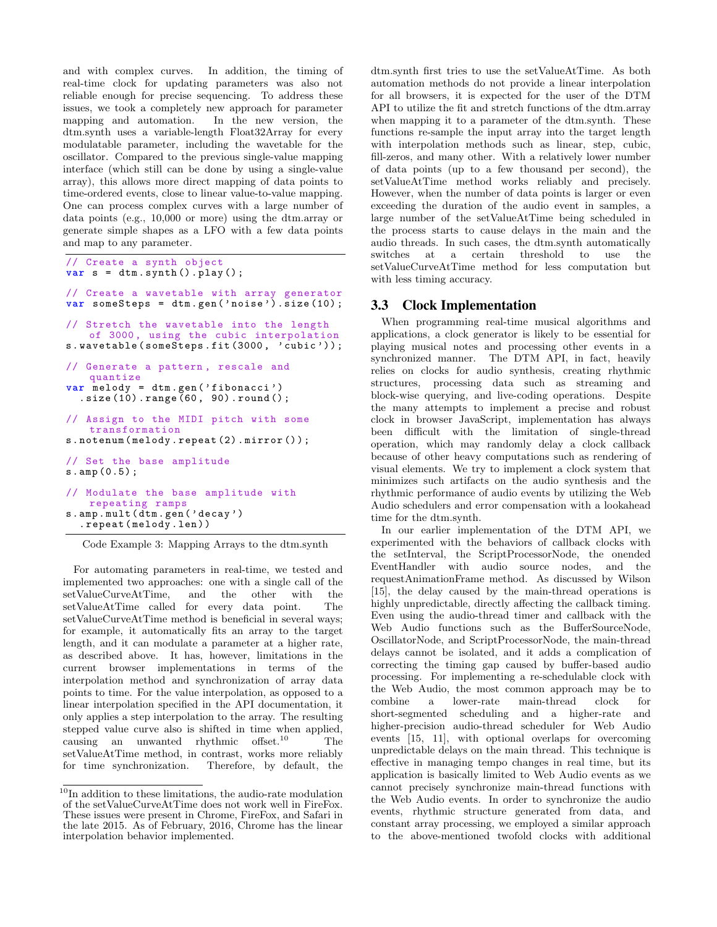and with complex curves. In addition, the timing of real-time clock for updating parameters was also not reliable enough for precise sequencing. To address these issues, we took a completely new approach for parameter mapping and automation. In the new version, the dtm.synth uses a variable-length Float32Array for every modulatable parameter, including the wavetable for the oscillator. Compared to the previous single-value mapping interface (which still can be done by using a single-value array), this allows more direct mapping of data points to time-ordered events, close to linear value-to-value mapping. One can process complex curves with a large number of data points (e.g., 10,000 or more) using the dtm.array or generate simple shapes as a LFO with a few data points and map to any parameter.

```
// Create a synth object
var s = dtm.synth() . play();
```
// Create a wavetable with array generator var someSteps = dtm.gen('noise').size(10);

// Stretch the wavetable into the length of 3000, using the cubic interpolation s. wavetable (someSteps.fit (3000, 'cubic'));

```
// Generate a pattern , rescale and
   quantize
var melody = dtm .gen ( ' fibonacci ')
  .size (10) . range (60, 90) . round();
```
Assign to the MIDI pitch with some transformation

s. notenum ( melody . repeat (2) . mirror () ) ;

// Set the base amplitude s.amp (0.5) ;

```
// Modulate the base amplitude with
   repeating ramps
s.amp. mult (dtm.gen( ' decay ')
  . repeat ( melody .len) )
```
Code Example 3: Mapping Arrays to the dtm.synth

For automating parameters in real-time, we tested and implemented two approaches: one with a single call of the setValueCurveAtTime, and the other with the setValueAtTime called for every data point. The setValueCurveAtTime method is beneficial in several ways; for example, it automatically fits an array to the target length, and it can modulate a parameter at a higher rate, as described above. It has, however, limitations in the current browser implementations in terms of the interpolation method and synchronization of array data points to time. For the value interpolation, as opposed to a linear interpolation specified in the API documentation, it only applies a step interpolation to the array. The resulting stepped value curve also is shifted in time when applied, causing an unwanted rhythmic offset.<sup>10</sup> The setValueAtTime method, in contrast, works more reliably for time synchronization. Therefore, by default, the dtm.synth first tries to use the setValueAtTime. As both automation methods do not provide a linear interpolation for all browsers, it is expected for the user of the DTM API to utilize the fit and stretch functions of the dtm.array when mapping it to a parameter of the dtm.synth. These functions re-sample the input array into the target length with interpolation methods such as linear, step, cubic, fill-zeros, and many other. With a relatively lower number of data points (up to a few thousand per second), the setValueAtTime method works reliably and precisely. However, when the number of data points is larger or even exceeding the duration of the audio event in samples, a large number of the setValueAtTime being scheduled in the process starts to cause delays in the main and the audio threads. In such cases, the dtm.synth automatically switches at a certain threshold to use the setValueCurveAtTime method for less computation but with less timing accuracy.

## 3.3 Clock Implementation

When programming real-time musical algorithms and applications, a clock generator is likely to be essential for playing musical notes and processing other events in a synchronized manner. The DTM API, in fact, heavily relies on clocks for audio synthesis, creating rhythmic structures, processing data such as streaming and block-wise querying, and live-coding operations. Despite the many attempts to implement a precise and robust clock in browser JavaScript, implementation has always been difficult with the limitation of single-thread operation, which may randomly delay a clock callback because of other heavy computations such as rendering of visual elements. We try to implement a clock system that minimizes such artifacts on the audio synthesis and the rhythmic performance of audio events by utilizing the Web Audio schedulers and error compensation with a lookahead time for the dtm.synth.

In our earlier implementation of the DTM API, we experimented with the behaviors of callback clocks with the setInterval, the ScriptProcessorNode, the onended EventHandler with audio source nodes, and the requestAnimationFrame method. As discussed by Wilson [15], the delay caused by the main-thread operations is highly unpredictable, directly affecting the callback timing. Even using the audio-thread timer and callback with the Web Audio functions such as the BufferSourceNode, OscillatorNode, and ScriptProcessorNode, the main-thread delays cannot be isolated, and it adds a complication of correcting the timing gap caused by buffer-based audio processing. For implementing a re-schedulable clock with the Web Audio, the most common approach may be to combine a lower-rate main-thread clock for short-segmented scheduling and a higher-rate and higher-precision audio-thread scheduler for Web Audio events [15, 11], with optional overlaps for overcoming unpredictable delays on the main thread. This technique is effective in managing tempo changes in real time, but its application is basically limited to Web Audio events as we cannot precisely synchronize main-thread functions with the Web Audio events. In order to synchronize the audio events, rhythmic structure generated from data, and constant array processing, we employed a similar approach to the above-mentioned twofold clocks with additional

 $\rm ^{10}In$  addition to these limitations, the audio-rate modulation of the setValueCurveAtTime does not work well in FireFox. These issues were present in Chrome, FireFox, and Safari in the late 2015. As of February, 2016, Chrome has the linear interpolation behavior implemented.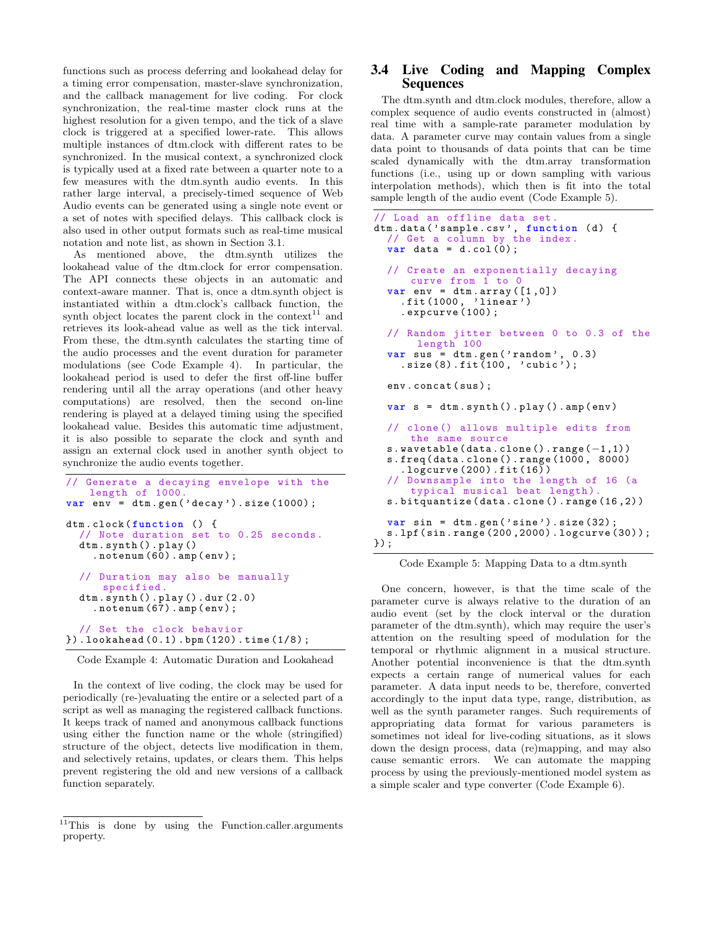functions such as process deferring and lookahead delay for a timing error compensation, master-slave synchronization, and the callback management for live coding. For clock synchronization, the real-time master clock runs at the highest resolution for a given tempo, and the tick of a slave clock is triggered at a specified lower-rate. This allows multiple instances of dtm.clock with different rates to be synchronized. In the musical context, a synchronized clock is typically used at a fixed rate between a quarter note to a few measures with the dtm.synth audio events. In this rather large interval, a precisely-timed sequence of Web Audio events can be generated using a single note event or a set of notes with specified delays. This callback clock is also used in other output formats such as real-time musical notation and note list, as shown in Section 3.1.

As mentioned above, the dtm.synth utilizes the lookahead value of the dtm.clock for error compensation. The API connects these objects in an automatic and context-aware manner. That is, once a dtm.synth object is instantiated within a dtm.clock's callback function, the synth object locates the parent clock in the context<sup>11</sup> and retrieves its look-ahead value as well as the tick interval. From these, the dtm.synth calculates the starting time of the audio processes and the event duration for parameter modulations (see Code Example 4). In particular, the lookahead period is used to defer the first off-line buffer rendering until all the array operations (and other heavy computations) are resolved, then the second on-line rendering is played at a delayed timing using the specified lookahead value. Besides this automatic time adjustment, it is also possible to separate the clock and synth and assign an external clock used in another synth object to synchronize the audio events together.

```
// Generate a decaying envelope with the
   length of 1000.
var env = dtm.gen( ' decay ') . size (1000) ;
dtm.clock(function () {
  // Note duration set to 0.25 seconds .
  dtm. synth () . play ()
    . notenum (60) .amp(env) ;
  // Duration may also be manually
      specified .
  dtm. synth () . play () .dur (2.0)
    . notenum (67) .amp(env) ;
  // Set the clock behavior
}) . lookahead (0.1) .bpm (120) . time (1/8) ;
```
Code Example 4: Automatic Duration and Lookahead

In the context of live coding, the clock may be used for periodically (re-)evaluating the entire or a selected part of a script as well as managing the registered callback functions. It keeps track of named and anonymous callback functions using either the function name or the whole (stringified) structure of the object, detects live modification in them, and selectively retains, updates, or clears them. This helps prevent registering the old and new versions of a callback function separately.

# 3.4 Live Coding and Mapping Complex Sequences

The dtm.synth and dtm.clock modules, therefore, allow a complex sequence of audio events constructed in (almost) real time with a sample-rate parameter modulation by data. A parameter curve may contain values from a single data point to thousands of data points that can be time scaled dynamically with the dtm.array transformation functions (i.e., using up or down sampling with various interpolation methods), which then is fit into the total sample length of the audio event (Code Example 5).

```
// Load an offline data set .
dtm. data ( ' sample . csv ' , function (d) {
  // Get a column by the index .
  var \text{ data} = d.col(0);
  // Create an exponentially decaying
      curve from 1 to 0
  var env = dtm . array ([1 ,0])
     .fit (1000 , ' linear ')
     . expcurve (100) ;
  // Random jitter between 0 to 0.3 of the
       length 100
  var sus = dtm.gen('random', 0.3)
     .size (8) .fit(100, 'cubic');env. concat (sus) ;
  var s = dtm. synth () . play () .amp(env)
  // clone () allows multiple edits from
      the same source
  s. wavetable (data.clone().range(-1,1))
  s. freq ( data . clone () . range (1000 , 8000)
     l^2. logcurve (200). fit (16))
     Downsample into the length of 16 (a
      typical musical beat length).
  s. bitquantize ( data . clone () . range (16 ,2) )
  var sin = dtm.gen('sine').size(32);
  s.lpf(sin. range (200 ,2000) . logcurve (30) ) ;
}) ;
```
Code Example 5: Mapping Data to a dtm.synth

One concern, however, is that the time scale of the parameter curve is always relative to the duration of an audio event (set by the clock interval or the duration parameter of the dtm.synth), which may require the user's attention on the resulting speed of modulation for the temporal or rhythmic alignment in a musical structure. Another potential inconvenience is that the dtm.synth expects a certain range of numerical values for each parameter. A data input needs to be, therefore, converted accordingly to the input data type, range, distribution, as well as the synth parameter ranges. Such requirements of appropriating data format for various parameters is sometimes not ideal for live-coding situations, as it slows down the design process, data (re)mapping, and may also cause semantic errors. We can automate the mapping process by using the previously-mentioned model system as a simple scaler and type converter (Code Example 6).

 $\overline{11}$ This is done by using the Function.caller.arguments property.